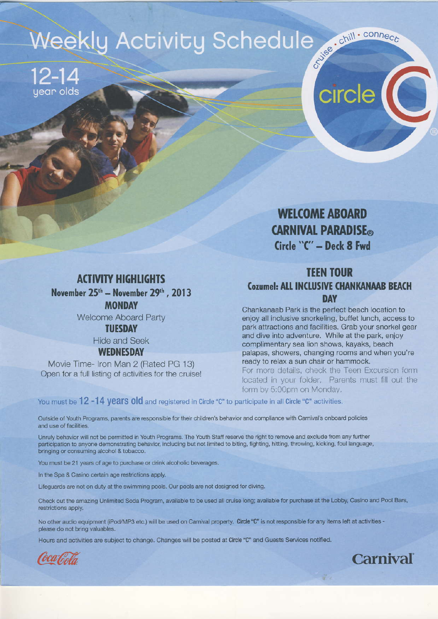# Suise : chill . connect **Weekly Activity Schedule**

 $12 - 14$ jear olds

> **WELCOME ABOARD CARNIVAL PARADISE**® Circle "C" - Deck 8 Fwd

circle

#### **ACTIVITY HIGHLIGHTS** November 25<sup>th</sup> - November 29<sup>th</sup>, 2013 **MONDAY Welcome Aboard Party**

**TUESDAY** 

**Hide and Seek WEDNESDAY** 

Movie Time- Iron Man 2 (Rated PG 13) Open for a full listing of activities for the cruise!

### **TEEN TOUR Cozumel: ALL INCLUSIVE CHANKANAAB BEACH DAY**

Chankanaab Park is the perfect beach location to enjoy all inclusive snorkeling, buffet lunch, access to park attractions and facilities. Grab your snorkel gear and dive into adventure. While at the park, enjoy complimentary sea lion shows, kayaks, beach palapas, showers, changing rooms and when you're ready to relax a sun chair or hammock. For more details, check the Teen Excursion form

located in your folder. Parents must fill out the form by 5:00pm on Monday.

**Carnival** 

You must be 12 -14 years old and registered in Circle "C" to participate in all Circle "C" activities.

Outside of Youth Programs, parents are responsible for their children's behavior and compliance with Carnival's onboard policies and use of facilities.

Unruly behavior will not be permitted in Youth Programs. The Youth Staff reserve the right to remove and exclude from any further participation to anyone demonstrating behavior, including but not limited to biting, fighting, hitting, throwing, kicking, foul language, bringing or consuming alcohol & tobacco.

You must be 21 years of age to purchase or drink alcoholic beverages.

In the Spa & Casino certain age restrictions apply.

Lifeguards are not on duty at the swimming pools. Our pools are not designed for diving.

Check out the amazing Unlimited Soda Program, available to be used all cruise long; available for purchase at the Lobby, Casino and Pool Bars, restrictions apply.

No other audio equipment (iPod/MP3 etc.) will be used on Carnival property. Circle "C" is not responsible for any items left at activities please do not bring valuables.

Hours and activities are subject to change. Changes will be posted at Circle "C" and Guests Services notified.

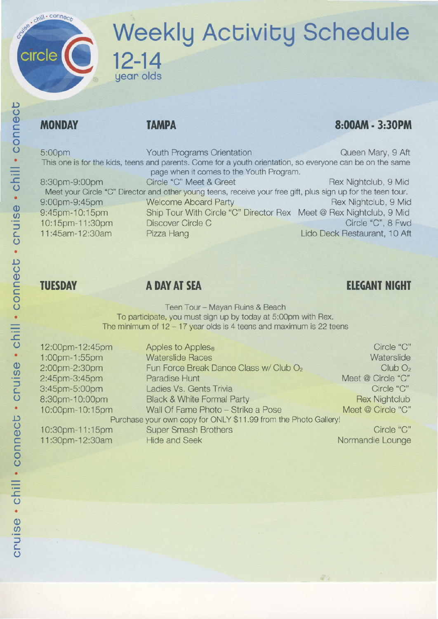## chill . connect **Weekly Activity Schedule** circle  $12 - 14$ year olds

## **MONDAY**

### **TAMPA**

## 8:00AM - 3:30PM

This one is for the kids, teens and parents. Come for a youth orientalion, so everyone can be on the same 8:30pm-9:00pm page when it comes to the Youth Program. Circle "C" Meet & Greet Fex Nightclub, 9 Mid Meet your Circle "C" Director and other young teens, receive your free gift, plus sign up for the teen tour. 5:00pm 9i00pm-9:45pm Youth Programs Orientation Queen Mary, 9 Aft

9:45pm-10:15pm 10:1spm-1 1 :30pm 1 1 :45am- 12:30am

Welcome Aboard Party **Rex Nightclub, 9 Mid** Rex Nightclub, 9 Mid Ship Tour With Circle "C" Director Rex Meet @ Rex Nightclub, 9 Mid Discover Circle C Pizza Hang Circle "C", 8 Fwd Lido Deck Restaurant, 10 Aft

## **TUESDAY**

## A DAY AT SEA

## **ELEGANT NIGHT**

Teen Tour - Mayan Ruins & Beach To participate, you must sign up by today at 5:0opm with Rex. The minimum of  $12 - 17$  year olds is 4 teens and maximum is 22 teens

| 12:00pm-12:45pm                                                 | Apples to Apples <sup>®</sup>                      | Circle "C"           |  |
|-----------------------------------------------------------------|----------------------------------------------------|----------------------|--|
| 1:00pm-1:55pm                                                   | <b>Waterslide Races</b>                            | Waterslide           |  |
| 2:00pm-2:30pm                                                   | Fun Force Break Dance Class w/ Club O <sub>2</sub> | ClubO <sub>2</sub>   |  |
| 2:45pm-3:45pm                                                   | Paradise Hunt                                      | Meet @ Circle "C"    |  |
| 3:45pm-5:00pm                                                   | Ladies Vs. Gents Trivia                            | Circle "C"           |  |
| 8:30pm-10:00pm                                                  | <b>Black &amp; White Formal Party</b>              | <b>Rex Nightclub</b> |  |
| 10:00pm-10:15pm                                                 | Wall Of Fame Photo - Strike a Pose                 | Meet @ Circle "C"    |  |
| Purchase your own copy for ONLY \$11.99 from the Photo Gallery! |                                                    |                      |  |
| 10:30pm-11:15pm                                                 | <b>Super Smash Brothers</b>                        | Circle "C"           |  |
| 11:30pm-12:30am                                                 | <b>Hide and Seek</b>                               | Normandie Lounge     |  |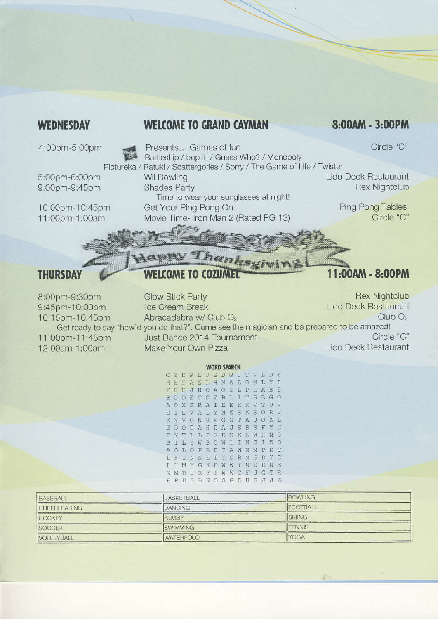#### **WEDNESDAY**

#### **WELCOME TO GRAND CAYMAN**

#### 8:00AM - 3:00PM

4:00pm-5:00pm

Presents... Games of fun Battleship / bop it! / Guess Who? / Monopoly Pictureka / Ratuki / Scattergories / Sorry / The Game of Life / Twister

5:00pm-6:00pm 9:00pm-9:45pm

10:00pm-10:45pm 11:00pm-1:00am

Wii Bowling **Shades Party** Time to wear your sunglasses at night! Get Your Ping Pong On

Movie Time- Iron Man 2 (Rated PG 13)

Circle "C"

Lido Deck Restaurant **Rex Nightclub** 

> **Ping Pong Tables** Circle "C"

#### **THURSDAY**

## GPPY Thanksgi **WELCOME TO COZUMED**

## 11:00AM - 8:00PM

**Rex Nightclub Glow Stick Party** 8:00pm-9:30pm **Lido Deck Restaurant** 9:45pm-10:00pm Ice Cream Break  $ClubO<sub>2</sub>$ 10:15pm-10:45pm Abracadabra w/ Club O<sub>2</sub> Get ready to say "how'd you do that?". Come see the magician and be prepared to be amazed! 11:00pm-11:45pm Just Dance 2014 Tournament Circle "C" **Lido Deck Restaurant** Make Your Own Pizza 12:00am-1:00am

#### **WORD SEARCH**

CYDPLJGDWJTVLDY HHTAZLHNALONLYI YUEJNOAOILPHABS B D D E C C Z B L I T S B G O OXKRAIEEKKV TU V I E V A L Y N Z S K S O R V S KYVGNBEGGTAUOZL EDOEAHDAJSBBFYG YTLLPGDDKLWHNS T I L Y W B O W L I N G  $\mathbb{T}$  $Z^{\circ}$ B OLOPRETAWNMPKC A LSINNETTORMGDYC LHMYGKDWWINDDNE NMHURFTWWQFJGTR F P D S B N O S G D H G J J Z

| <b>BASEBALL</b>     | <b>IBASKETBALL</b> | <b>IBOWLING</b>  |
|---------------------|--------------------|------------------|
| <b>CHEERLEADING</b> | DANCING            | <b>IFOOTBALL</b> |
| <b>HOCKEY</b>       | RUGBY              | <b>ISKIING</b>   |
| <b>SOCCER</b>       | <b>ISWIMMING</b>   | <b>ITENNIS</b>   |
| <b>IVOLLEYBALL</b>  | <b>WATERPOLO</b>   | <b>YOGA</b>      |